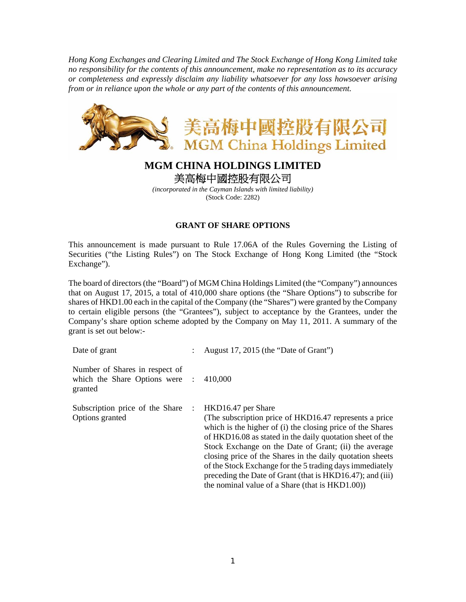*Hong Kong Exchanges and Clearing Limited and The Stock Exchange of Hong Kong Limited take no responsibility for the contents of this announcement, make no representation as to its accuracy or completeness and expressly disclaim any liability whatsoever for any loss howsoever arising from or in reliance upon the whole or any part of the contents of this announcement.* 



## **MGM CHINA HOLDINGS LIMITED**  美高梅中國控股有限公司

*(incorporated in the Cayman Islands with limited liability)*  (Stock Code: 2282)

## **GRANT OF SHARE OPTIONS**

This announcement is made pursuant to Rule 17.06A of the Rules Governing the Listing of Securities ("the Listing Rules") on The Stock Exchange of Hong Kong Limited (the "Stock Exchange").

The board of directors (the "Board") of MGM China Holdings Limited (the "Company") announces that on August 17, 2015, a total of 410,000 share options (the "Share Options") to subscribe for shares of HKD1.00 each in the capital of the Company (the "Shares") were granted by the Company to certain eligible persons (the "Grantees"), subject to acceptance by the Grantees, under the Company's share option scheme adopted by the Company on May 11, 2011. A summary of the grant is set out below:-

| Date of grant                                                               |            | August 17, 2015 (the "Date of Grant")                                                                                                                                                                                                                                                                                                                                                                                                                                                                      |
|-----------------------------------------------------------------------------|------------|------------------------------------------------------------------------------------------------------------------------------------------------------------------------------------------------------------------------------------------------------------------------------------------------------------------------------------------------------------------------------------------------------------------------------------------------------------------------------------------------------------|
| Number of Shares in respect of<br>which the Share Options were :<br>granted |            | 410,000                                                                                                                                                                                                                                                                                                                                                                                                                                                                                                    |
| Subscription price of the Share<br>Options granted                          | $\sim$ 100 | HKD16.47 per Share<br>(The subscription price of HKD16.47 represents a price)<br>which is the higher of (i) the closing price of the Shares<br>of HKD16.08 as stated in the daily quotation sheet of the<br>Stock Exchange on the Date of Grant; (ii) the average<br>closing price of the Shares in the daily quotation sheets<br>of the Stock Exchange for the 5 trading days immediately<br>preceding the Date of Grant (that is HKD16.47); and (iii)<br>the nominal value of a Share (that is HKD1.00)) |